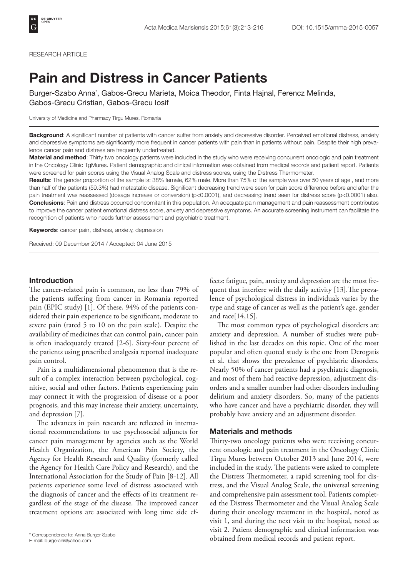#### RESEARCH ARTICLE

# Pain and Distress in Cancer Patients

Burger-Szabo Anna\* , Gabos-Grecu Marieta, Moica Theodor, Finta Hajnal, Ferencz Melinda, Gabos-Grecu Cristian, Gabos-Grecu Iosif

University of Medicine and Pharmacy Tirgu Mures, Romania

Background: A significant number of patients with cancer suffer from anxiety and depressive disorder. Perceived emotional distress, anxiety and depressive symptoms are significantly more frequent in cancer patients with pain than in patients without pain. Despite their high prevalence cancer pain and distress are frequently undertreated.

Material and method: Thirty two oncology patients were included in the study who were receiving concurrent oncologic and pain treatment in the Oncology Clinic TgMures. Patient demographic and clinical information was obtained from medical records and patient report. Patients were screened for pain scores using the Visual Analog Scale and distress scores, using the Distress Thermometer.

Results: The gender proportion of the sample is: 38% female, 62% male. More than 75% of the sample was over 50 years of age, and more than half of the patients (59.3%) had metastatic disease. Significant decreasing trend were seen for pain score difference before and after the pain treatment was reassessed (dosage increase or conversion) (p<0.0001), and decreasing trend seen for distress score (p<0.0001) also. Conclusions: Pain and distress occurred concomitant in this population. An adequate pain management and pain reassessment contributes to improve the cancer patient emotional distress score, anxiety and depressive symptoms. An accurate screening instrument can facilitate the recognition of patients who needs further assessment and psychiatric treatment.

Keywords: cancer pain, distress, anxiety, depression

Received: 09 December 2014 / Accepted: 04 June 2015

## Introduction

The cancer-related pain is common, no less than 79% of the patients suffering from cancer in Romania reported pain (EPIC study) [1]. Of these, 94% of the patients considered their pain experience to be significant, moderate to severe pain (rated 5 to 10 on the pain scale). Despite the availability of medicines that can control pain, cancer pain is often inadequately treated [2-6]. Sixty-four percent of the patients using prescribed analgesia reported inadequate pain control.

Pain is a multidimensional phenomenon that is the result of a complex interaction between psychological, cognitive, social and other factors. Patients experiencing pain may connect it with the progression of disease or a poor prognosis, and this may increase their anxiety, uncertainty, and depression [7].

The advances in pain research are reflected in international recommendations to use psychosocial adjuncts for cancer pain management by agencies such as the World Health Organization, the American Pain Society, the Agency for Health Research and Quality (formerly called the Agency for Health Care Policy and Research), and the International Association for the Study of Pain [8-12]. All patients experience some level of distress associated with the diagnosis of cancer and the effects of its treatment regardless of the stage of the disease. The improved cancer treatment options are associated with long time side ef-

E-mail: burgerani@yahoo.com

fects: fatigue, pain, anxiety and depression are the most frequent that interfere with the daily activity [13].The prevalence of psychological distress in individuals varies by the type and stage of cancer as well as the patient's age, gender and race[14,15].

The most common types of psychological disorders are anxiety and depression. A number of studies were published in the last decades on this topic. One of the most popular and often quoted study is the one from Derogatis et al. that shows the prevalence of psychiatric disorders. Nearly 50% of cancer patients had a psychiatric diagnosis, and most of them had reactive depression, adjustment disorders and a smaller number had other disorders including delirium and anxiety disorders. So, many of the patients who have cancer and have a psychiatric disorder, they will probably have anxiety and an adjustment disorder.

## Materials and methods

Thirty-two oncology patients who were receiving concurrent oncologic and pain treatment in the Oncology Clinic Tirgu Mures between October 2013 and June 2014, were included in the study. The patients were asked to complete the Distress Thermometer, a rapid screening tool for distress, and the Visual Analog Scale, the universal screening and comprehensive pain assessment tool. Patients completed the Distress Thermometer and the Visual Analog Scale during their oncology treatment in the hospital, noted as visit 1, and during the next visit to the hospital, noted as visit 2. Patient demographic and clinical information was \* Correspondence to: Anna Burger-Szabo<br>
E-mail: burgerani@vahoo.com **black of the cords and patient report.** Anna Burger-Szabo<br> **black of the medical records and patient report.**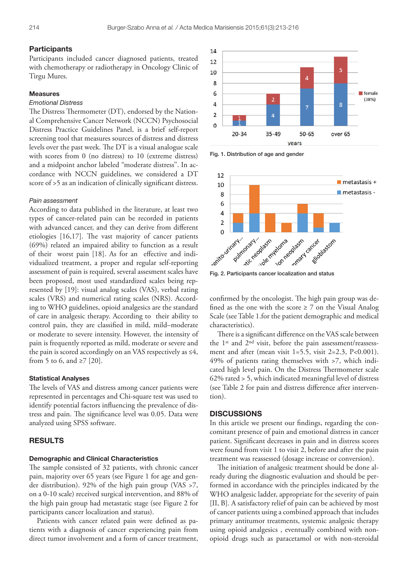### **Participants**

Participants included cancer diagnosed patients, treated with chemotherapy or radiotherapy in Oncology Clinic of Tirgu Mures.

## Measures

## *Emotional Distress*

The Distress Thermometer (DT), endorsed by the National Comprehensive Cancer Network (NCCN) Psychosocial Distress Practice Guidelines Panel, is a brief self-report screening tool that measures sources of distress and distress levels over the past week. The DT is a visual analogue scale with scores from 0 (no distress) to 10 (extreme distress) and a midpoint anchor labeled ''moderate distress''. In accordance with NCCN guidelines, we considered a DT score of >5 as an indication of clinically significant distress.

#### *Pain assessment*

According to data published in the literature, at least two types of cancer-related pain can be recorded in patients with advanced cancer, and they can derive from different etiologies [16,17]. The vast majority of cancer patients (69%) related an impaired ability to function as a result of their worst pain [18]. As for an effective and individualized treatment, a proper and regular self-reporting assessment of pain is required, several assesment scales have been proposed, most used standardized scales being represented by [19]: visual analog scales (VAS), verbal rating scales (VRS) and numerical rating scales (NRS). According to WHO guidelines, opioid analgesics are the standard of care in analgesic therapy. According to their ability to control pain, they are classified in mild, mild–moderate or moderate to severe intensity. However, the intensity of pain is frequently reported as mild, moderate or severe and the pain is scored accordingly on an VAS respectively as  $\leq 4$ , from 5 to 6, and  $\geq$ 7 [20].

## Statistical Analyses

The levels of VAS and distress among cancer patients were represented in percentages and Chi-square test was used to identify potential factors influencing the prevalence of distress and pain. The significance level was 0.05. Data were analyzed using SPSS software.

## RESULTS

#### Demographic and Clinical Characteristics

The sample consisted of 32 patients, with chronic cancer pain, majority over 65 years (see Figure 1 for age and gender distribution). 92% of the high pain group (VAS >7, on a 0-10 scale) received surgical intervention, and 88% of the high pain group had metastatic stage (see Figure 2 for participants cancer localization and status).

Patients with cancer related pain were defined as patients with a diagnosis of cancer experiencing pain from direct tumor involvement and a form of cancer treatment,



Fig. 1. Distribution of age and gender



confirmed by the oncologist. The high pain group was defined as the one with the score  $\geq 7$  on the Visual Analog Scale (see Table 1.for the patient demographic and medical characteristics).

There is a significant difference on the VAS scale between the 1st and 2nd visit, before the pain assessment/reassessment and after (mean visit  $1=5.5$ , visit  $2=2.3$ , P<0.001). 49% of patients rating themselves with >7, which indicated high level pain. On the Distress Thermometer scale 62% rated > 5, which indicated meaningful level of distress (see Table 2 for pain and distress difference after intervention).

#### **DISCUSSIONS**

In this article we present our findings, regarding the concomitant presence of pain and emotional distress in cancer patient. Significant decreases in pain and in distress scores were found from visit 1 to visit 2, before and after the pain treatment was reassessed (dosage increase or conversion).

The initiation of analgesic treatment should be done already during the diagnostic evaluation and should be performed in accordance with the principles indicated by the WHO analgesic ladder, appropriate for the severity of pain [II, B]. A satisfactory relief of pain can be achieved by most of cancer patients using a combined approach that includes primary antitumor treatments, systemic analgesic therapy using opioid analgesics , eventually combined with nonopioid drugs such as paracetamol or with non-steroidal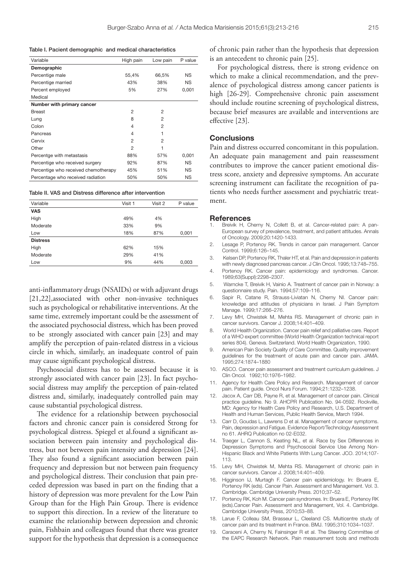| Table I. Pacient demographic and medical characteristics |  |  |  |  |  |
|----------------------------------------------------------|--|--|--|--|--|
|----------------------------------------------------------|--|--|--|--|--|

| High pain | Low pain       | P value   |
|-----------|----------------|-----------|
|           |                |           |
| 55,4%     | 66,5%          | <b>NS</b> |
| 43%       | 38%            | <b>NS</b> |
| 5%        | 27%            | 0,001     |
|           |                |           |
|           |                |           |
| 2         | 2              |           |
| 8         | $\overline{2}$ |           |
| 4         | $\overline{2}$ |           |
| 4         | 1              |           |
| 2         | $\mathfrak{p}$ |           |
| 2         | 1              |           |
| 88%       | 57%            | 0,001     |
| 92%       | 87%            | <b>NS</b> |
| 45%       | 51%            | <b>NS</b> |
| 50%       | 50%            | <b>NS</b> |
|           |                |           |

Table II. VAS and Distress difference after intervention

| Variable        | Visit 1 | Visit 2 | P value |
|-----------------|---------|---------|---------|
| <b>VAS</b>      |         |         |         |
| High            | 49%     | 4%      |         |
| Moderate        | 33%     | 9%      |         |
| Low             | 18%     | 87%     | 0,001   |
| <b>Distress</b> |         |         |         |
| High            | 62%     | 15%     |         |
| Moderate        | 29%     | 41%     |         |
| Low             | 9%      | 44%     | 0,003   |

anti-inflammatory drugs (NSAIDs) or with adjuvant drugs [21,22],associated with other non-invasive techniques such as psychological or rehabilitative interventions. At the same time, extremely important could be the assessment of the associated psychosocial distress, which has been proved to be strongly associated with cancer pain [23] and may amplify the perception of pain-related distress in a vicious circle in which, similarly, an inadequate control of pain may cause significant psychological distress.

Psychosocial distress has to be assessed because it is strongly associated with cancer pain [23]. In fact psychosocial distress may amplify the perception of pain-related distress and, similarly, inadequately controlled pain may cause substantial psychological distress.

The evidence for a relationship between psychosocial factors and chronic cancer pain is considered Strong for psychological distress. Spiegel et al.found a significant association between pain intensity and psychological distress, but not between pain intensity and depression [24]. They also found a significant association between pain frequency and depression but not between pain frequency and psychological distress. Their conclusion that pain preceded depression was based in part on the finding that a history of depression was more prevalent for the Low Pain Group than for the High Pain Group. There is evidence to support this direction. In a review of the literature to examine the relationship between depression and chronic pain, Fishbain and colleagues found that there was greater support for the hypothesis that depression is a consequence

of chronic pain rather than the hypothesis that depression is an antecedent to chronic pain [25].

For psychological distress, there is strong evidence on which to make a clinical recommendation, and the prevalence of psychological distress among cancer patients is high [26-29]. Comprehensive chronic pain assessment should include routine screening of psychological distress, because brief measures are available and interventions are effective [23].

## **Conclusions**

Pain and distress occurred concomitant in this population. An adequate pain management and pain reassessment contributes to improve the cancer patient emotional distress score, anxiety and depressive symptoms. An accurate screening instrument can facilitate the recognition of patients who needs further assessment and psychiatric treatment.

#### References

- Breivik H, Cherny N, Collett B, et al. Cancer-related pain: A pan-European survey of prevalence, treatment, and patient attitudes. Annals of Oncology. 2009;20:1420-1433.
- 2. Lesage P, Portenoy RK. Trends in cancer pain management. Cancer Control. 1999;6:126–145.
- 3. Kelsen DP, Portenoy RK, Thaler HT, et al. Pain and depression in patients with newly diagnosed pancreas cancer. J Clin Oncol. 1995;13:748–755.
- 4. Portenoy RK. Cancer pain: epidemiology and syndromes. Cancer. 1989;63(Suppl):2298–2307.
- 5. Warncke T, Breivik H, Vainio A. Treatment of cancer pain in Norway: a questionnaire study. Pain. 1994;57:109–116.
- 6. Sapir R, Catane R, Strauss-Liviatan N, Cherny NI. Cancer pain: knowledge and attitudes of physicians in Israel. J Pain Symptom Manage. 1999;17:266–276.
- 7. Levy MH, Chwistek M, Mehta RS. Management of chronic pain in cancer survivors. Cancer J. 2008;14:401–409.
- 8. World Health Organization. Cancer pain relief and palliative care. Report of a WHO expert committee (World Health Organization technical report series 804). Geneva. Switzerland. World Health Organization, 1990.
- 9. American Pain Society Quality of Care Committee. Quality improvement guidelines for the treatment of acute pain and cancer pain. JAMA. 1995;274:1874–1880
- 10. ASCO. Cancer pain assessment and treatment curriculum guidelines. J Clin Oncol. 1992;10:1976–1982.
- 11. Agency for Health Care Policy and Research. Management of cancer pain. Patient guide. Oncol Nurs Forum. 1994;21:1232–1238.
- 12. Jacox A, Carr DB, Payne R, et al. Management of cancer pain. Clinical practice guideline. No 9. AHCPR Publication No. 94-0592. Rockville, MD: Agency for Health Care Policy and Research, U.S. Department of Health and Human Services, Public Health Service, March 1994.
- 13. Carr D, Goudas L, Lawrens D et al. Management of cancer symptoms. Pain, depression and Fatigue. Evidence Report/Technology Assessment no 61. AHRQ Publication no 02-E032.
- 14. Traeger L, Cannon S, Keating NL, et al. Race by Sex Differences in Depression Symptoms and Psychosocial Service Use Among Non-Hispanic Black and White Patients With Lung Cancer. JCO. 2014;107- 113.
- 15. Levy MH, Chwistek M, Mehta RS. Management of chronic pain in cancer survivors. Cancer J. 2008;14:401–409.
- 16. Higginson IJ, Murtagh F. Cancer pain epidemiology. In: Bruera E, Portenoy RK (eds). Cancer Pain. Assessment and Management. Vol. 3. Cambridge. Cambridge University Press. 2010;37–52.
- 17. Portenoy RK, Koh M. Cancer pain syndromes. In: Bruera E, Portenoy RK (eds).Cancer Pain. Assessment and Management, Vol. 4. Cambridge. Cambridge University Press, 2010;53–88.
- 18. Larue F, Colleau SM, Brasseur L, Cleeland CS. Multicentre study of cancer pain and its treatment in France. BMJ. 1995;310:1034–1037.
- 19. Caraceni A, Cherny N, Fainsinger R et al. The Steering Committee of the EAPC Research Network. Pain measurement tools and methods